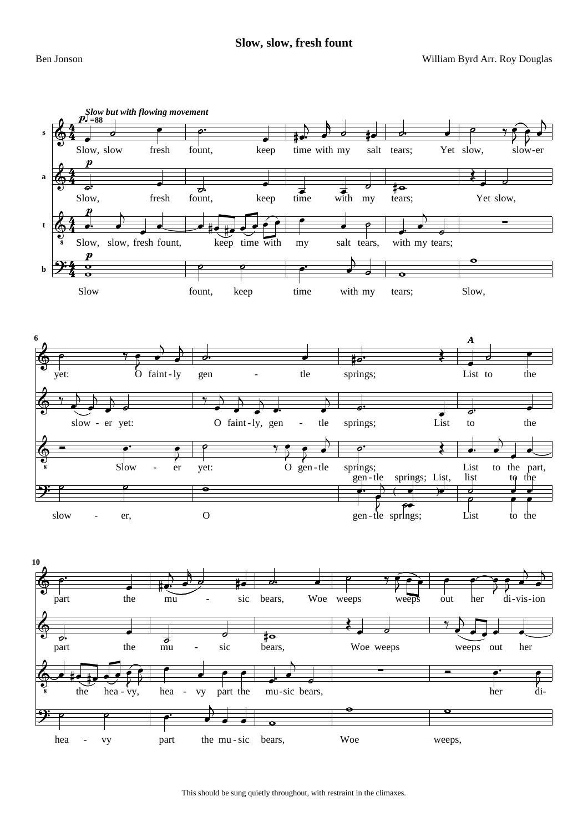**Slow, slow, fresh fount**